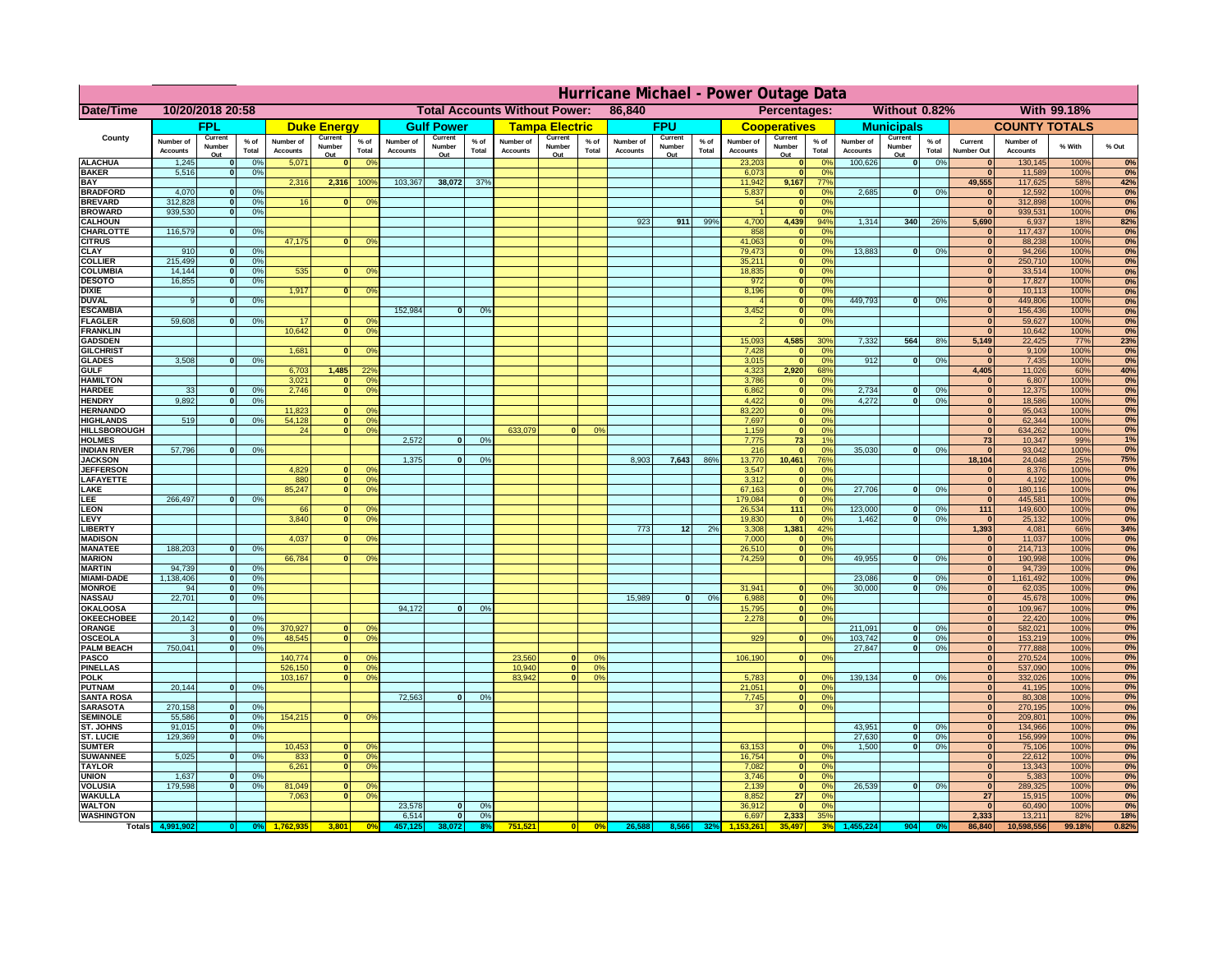|                                         | Hurricane Michael - Power Outage Data |                             |                 |                              |                          |                                                    |                              |                          |                |                              |                          |                                              |                              |                          |                 |                              |                          |                       |                              |                          |                 |                              |                              |              |           |
|-----------------------------------------|---------------------------------------|-----------------------------|-----------------|------------------------------|--------------------------|----------------------------------------------------|------------------------------|--------------------------|----------------|------------------------------|--------------------------|----------------------------------------------|------------------------------|--------------------------|-----------------|------------------------------|--------------------------|-----------------------|------------------------------|--------------------------|-----------------|------------------------------|------------------------------|--------------|-----------|
| Date/Time                               | 10/20/2018 20:58                      |                             |                 |                              |                          | <b>Total Accounts Without Power:</b><br>86,840     |                              |                          |                |                              |                          | Without 0.82%<br>With 99.18%<br>Percentages: |                              |                          |                 |                              |                          |                       |                              |                          |                 |                              |                              |              |           |
|                                         |                                       | FPL                         |                 |                              | <b>Duke Energy</b>       |                                                    |                              | <b>Gulf Power</b>        |                |                              | <b>Tampa Electric</b>    |                                              |                              | <b>FPU</b>               |                 |                              | <b>Cooperatives</b>      |                       |                              | <b>Municipals</b>        |                 |                              | <b>COUNTY TOTALS</b>         |              |           |
| County                                  | Number of<br><b>Accounts</b>          | Current<br>Number<br>Out    | $%$ of<br>Total | Number of<br><b>Accounts</b> | Current<br>Number<br>Out | $%$ of<br>Total                                    | Number of<br><b>Accounts</b> | Current<br>Number<br>Out | % of<br>Total  | Number of<br><b>Accounts</b> | Current<br>Number<br>Out | $%$ of<br>Total                              | Number of<br><b>Accounts</b> | Current<br>Number<br>Out | $%$ of<br>Total | Number of<br><b>Accounts</b> | Current<br>Number<br>Out | $%$ of<br>Total       | Number of<br><b>Accounts</b> | Current<br>Number<br>Out | $%$ of<br>Total | Current<br><b>Number Out</b> | Number of<br><b>Accounts</b> | % With       | % Out     |
| <b>ALACHUA</b>                          | 1,245                                 | $\mathbf{0}$                | 0%              | 5,071                        | $\mathbf{0}$             | 0 <sup>9</sup>                                     |                              |                          |                |                              |                          |                                              |                              |                          |                 | 23,203                       | 0                        | 0 <sup>9</sup>        | 100,626                      | 0                        | 0%              | $\bf{0}$                     | 130,145                      | 100%         | 0%        |
| <b>BAKER</b><br><b>BAY</b>              | 5,516                                 | 0                           | 0%              | 2,316                        | 2,316                    | 100%                                               | 103,367                      | 38,072                   | 37%            |                              |                          |                                              |                              |                          |                 | 6,073<br>11,942              | 0 <br>9,167              | 0%<br>77%             |                              |                          |                 | $\mathbf{0}$<br>49,555       | 11,589<br>117,625            | 100%<br>58%  | 0%        |
| <b>BRADFORD</b>                         | 4,070                                 | $\mathbf{0}$                | 0%              |                              |                          |                                                    |                              |                          |                |                              |                          |                                              |                              |                          |                 | 5,837                        | 0                        | 0%                    | 2,685                        | 0                        | 0%              | $\bf{0}$                     | 12,592                       | 100%         | 42%<br>0% |
| <b>BREVARD</b>                          | 312,828                               | 0                           | 0%              | 16                           | $\mathbf{0}$             | 0 <sup>o</sup>                                     |                              |                          |                |                              |                          |                                              |                              |                          |                 | 54                           | 0                        | 0%                    |                              |                          |                 | 0                            | 312,898                      | 100%         | 0%        |
| <b>BROWARD</b>                          | 939.530                               | 0                           | 0%              |                              |                          |                                                    |                              |                          |                |                              |                          |                                              |                              |                          |                 |                              | 0                        | 0%                    |                              |                          |                 | $\bf{0}$                     | 939,531                      | 100%         | 0%        |
| <b>CALHOUN</b><br>CHARLOTTE             | 116,579                               | 0                           | 0%              |                              |                          |                                                    |                              |                          |                |                              |                          |                                              | 923                          | 911                      | 99%             | 4,700<br>858                 | 4,439<br> 0              | 94%<br>0 <sup>9</sup> | 1,314                        | 340                      | 26%             | 5,690<br>$\bf{0}$            | 6,937<br>117,437             | 18%<br>100%  | 82%<br>0% |
| <b>CITRUS</b>                           |                                       |                             |                 | 47,175                       | $\mathbf{0}$             | 0 <sup>o</sup>                                     |                              |                          |                |                              |                          |                                              |                              |                          |                 | 41,063                       | 0                        | 0 <sup>9</sup>        |                              |                          |                 | $\bf{0}$                     | 88,238                       | 100%         | 0%        |
| <b>CLAY</b>                             | 910                                   | $\mathbf{0}$                | 0%              |                              |                          |                                                    |                              |                          |                |                              |                          |                                              |                              |                          |                 | 79,473                       | 0                        | 0%                    | 13,883                       | $\mathbf{0}$             | 0%              | $\bf{0}$                     | 94,266                       | 100%         | 0%        |
| <b>COLLIER</b>                          | 215,499                               | $\mathbf{0}$                | 0 <sup>9</sup>  | 535                          | $\mathbf{0}$             |                                                    |                              |                          |                |                              |                          |                                              |                              |                          |                 | 35,211                       | 0                        | 0%<br>0%              |                              |                          |                 | $\bf{0}$<br>$\bf{0}$         | 250,710                      | 100%         | 0%        |
| <b>COLUMBIA</b><br><b>DESOTO</b>        | 14,144<br>16,855                      | $\mathbf 0$<br>$\mathbf{0}$ | 0%<br>0%        |                              |                          | 0 <sup>9</sup>                                     |                              |                          |                |                              |                          |                                              |                              |                          |                 | 18,835<br>972                | 0 <br> 0                 | 0%                    |                              |                          |                 | $\bf{0}$                     | 33,514<br>17,827             | 100%<br>100% | 0%<br>0%  |
| <b>DIXIE</b>                            |                                       |                             |                 | 1,917                        | $\Omega$                 | 0 <sup>9</sup>                                     |                              |                          |                |                              |                          |                                              |                              |                          |                 | 8,196                        | 0                        | 0%                    |                              |                          |                 | $\Omega$                     | 10,113                       | 100%         | 0%        |
| <b>DUVAL</b>                            | 9                                     | $\Omega$                    | 0%              |                              |                          |                                                    |                              |                          |                |                              |                          |                                              |                              |                          |                 |                              | 0                        | 0%                    | 449.793                      | $\overline{0}$           | 0%              | $\Omega$                     | 449,806                      | 100%         | 0%        |
| <b>ESCAMBIA</b>                         | 59,608                                |                             |                 | 17                           |                          |                                                    | 152,984                      | $\mathbf{0}$             | 0 <sup>9</sup> |                              |                          |                                              |                              |                          |                 | 3,452                        | 0                        | 0%<br>0%              |                              |                          |                 | $\Omega$                     | 156,436                      | 100%         | 0%        |
| <b>FLAGLER</b><br><b>FRANKLIN</b>       |                                       | $\overline{0}$              | 0%              | 10,642                       | $\bf{0}$<br> 0           | 0 <sup>o</sup><br>0 <sup>9</sup>                   |                              |                          |                |                              |                          |                                              |                              |                          |                 |                              | 0                        |                       |                              |                          |                 | $\bf{0}$<br>$\Omega$         | 59,627<br>10,642             | 100%<br>100% | 0%<br>0%  |
| <b>GADSDEN</b>                          |                                       |                             |                 |                              |                          |                                                    |                              |                          |                |                              |                          |                                              |                              |                          |                 | 15,093                       | 4,585                    | 30%                   | 7,332                        | 564                      | 8%              | 5,149                        | 22,425                       | <b>77%</b>   | 23%       |
| <b>GILCHRIST</b>                        |                                       |                             |                 | 1,681                        | $\mathbf{0}$             | 0 <sup>9</sup>                                     |                              |                          |                |                              |                          |                                              |                              |                          |                 | 7,428                        | 0                        | 0%                    |                              |                          |                 | $\mathbf{0}$                 | 9,109                        | 100%         | 0%        |
| <b>GLADES</b><br><b>GULF</b>            | 3,508                                 | 0                           | 0%              |                              | 1,485                    |                                                    |                              |                          |                |                              |                          |                                              |                              |                          |                 | 3,015                        | 0 <br>2,920              | 0%<br>68%             | 912                          | $\overline{0}$           | 0%              | 0 <br>4,405                  | 7,435                        | 100%<br>60%  | 0%<br>40% |
| <b>HAMILTON</b>                         |                                       |                             |                 | 6,703<br>3,021               | $\Omega$                 | 22 <sup>o</sup><br>0 <sup>9</sup>                  |                              |                          |                |                              |                          |                                              |                              |                          |                 | 4,323<br>3,786               | 0                        | 0%                    |                              |                          |                 | $\Omega$                     | 11,026<br>6,807              | 100%         | 0%        |
| <b>HARDEE</b>                           | 33                                    | $\mathbf{0}$                | 0%              | 2.746                        |                          | $\overline{0}$<br>0 <sup>9</sup>                   |                              |                          |                |                              |                          |                                              |                              |                          |                 | 6.862                        | $\overline{0}$           | 0%                    | 2.734                        | $\mathbf{0}$             | 0%              | 0                            | 12,375                       | 100%         | 0%        |
| <b>HENDRY</b>                           | 9,892                                 | $\Omega$                    | 0%              |                              |                          |                                                    |                              |                          |                |                              |                          |                                              |                              |                          |                 | 4,422                        | 0                        | 0%                    | 4,272                        | $\Omega$                 | 0%              | 0                            | 18,586                       | 100%         | 0%        |
| <b>HERNANDO</b>                         | 519                                   | $\mathbf{0}$                |                 | 11,823                       | $\mathbf{0}$             | 0 <sup>9</sup><br> 0                               |                              |                          |                |                              |                          |                                              |                              |                          |                 | 83,220<br>7,697              | 0                        | 0%                    |                              |                          |                 | 0 <br> 0                     | 95,043                       | 100%         | 0%        |
| <b>HIGHLANDS</b><br><b>HILLSBOROUGH</b> |                                       |                             | 0 <sup>9</sup>  | 54,128<br>24                 |                          | 0 <sup>9</sup><br> 0 <br>0 <sup>9</sup>            |                              |                          |                | 633,079                      |                          | 0%                                           |                              |                          |                 | 1,159                        | 0 <br> 0                 | 0%<br>0%              |                              |                          |                 | 0                            | 62,344<br>634,262            | 100%<br>100% | 0%<br>0%  |
| <b>HOLMES</b>                           |                                       |                             |                 |                              |                          |                                                    | 2.572                        | $\mathbf{0}$             | 0%             |                              |                          |                                              |                              |                          |                 | 7.775                        | 73                       | 1%                    |                              |                          |                 | 73                           | 10,347                       | 99%          | 1%        |
| <b>INDIAN RIVER</b>                     | 57,796                                | $\mathbf{0}$                | 0%              |                              |                          |                                                    |                              |                          |                |                              |                          |                                              |                              |                          |                 | 216                          | 0                        | 0%                    | 35,030                       | $\mathbf{0}$             | 0%              | $\mathbf{0}$                 | 93,042                       | 100%         | 0%        |
| <b>JACKSON</b><br><b>JEFFERSON</b>      |                                       |                             |                 | 4.829                        |                          | n l<br>0 <sup>9</sup>                              | 1.375                        | $\mathbf{0}$             | 0 <sup>9</sup> |                              |                          |                                              | 8.903                        | 7,643                    | 86%             | 13,770<br>3.547              | 10.461<br> 0             | 76%<br>0%             |                              |                          |                 | 18.104<br> 0                 | 24,048<br>8.376              | 25%<br>100%  | 75%<br>0% |
| LAFAYETTE                               |                                       |                             |                 | 880                          |                          | 0 <br>0 <sup>9</sup>                               |                              |                          |                |                              |                          |                                              |                              |                          |                 | 3.312                        | 0                        | 0%                    |                              |                          |                 | 0                            | 4.192                        | 100%         | 0%        |
| LAKE                                    |                                       |                             |                 | 85,247                       |                          | $\mathbf{0}$<br>0 <sup>9</sup>                     |                              |                          |                |                              |                          |                                              |                              |                          |                 | 67,163                       | 0                        | 0%                    | 27,706                       | $\Omega$                 | 0%              | 0                            | 180,116                      | 100%         | 0%        |
| .EE                                     | 266,497                               | 0                           | 0%              |                              |                          |                                                    |                              |                          |                |                              |                          |                                              |                              |                          |                 | 179,084                      | 0                        | 0%                    |                              |                          |                 | 0                            | 445,581                      | 100%         | 0%        |
| LEON<br>LEVY                            |                                       |                             |                 | 66<br>3,840                  | $\Omega$                 | $\mathbf{0}$<br>0 <sup>o</sup><br>0 <sup>9</sup>   |                              |                          |                |                              |                          |                                              |                              |                          |                 | 26,534<br>19,830             | 111<br> 0                | 0%<br>0%              | 123,000<br>1,462             | $\mathbf{0}$<br>-ol      | 0%<br>0%        | 111<br> 0                    | 149,600<br>25,132            | 100%<br>100% | 0%<br>0%  |
| LIBERTY                                 |                                       |                             |                 |                              |                          |                                                    |                              |                          |                |                              |                          |                                              | 773                          | 12                       | 2%              | 3,308                        | 1,381                    | 42%                   |                              |                          |                 | 1,393                        | 4,081                        | 66%          | 34%       |
| <b>MADISON</b>                          |                                       |                             |                 | 4,037                        | $\Omega$                 | 0 <sup>9</sup>                                     |                              |                          |                |                              |                          |                                              |                              |                          |                 | 7,000                        | 0                        | 0%                    |                              |                          |                 | 0                            | 11,037                       | 100%         | 0%        |
| <b>MANATEE</b>                          | 188,203                               | 0                           | 0%              |                              |                          |                                                    |                              |                          |                |                              |                          |                                              |                              |                          |                 | 26,510                       | 0                        | 0%                    |                              |                          |                 | 0                            | 214,713                      | 100%         | 0%        |
| <b>MARION</b><br><b>MARTIN</b>          | 94,739                                | 0                           | 0%              | 66,784                       |                          | 0 <sup>9</sup><br>0                                |                              |                          |                |                              |                          |                                              |                              |                          |                 | 74,259                       |                          | 0 <br>0%              | 49,955                       | nl                       | 0%              | 0 <br> 0                     | 190,998<br>94,739            | 100%<br>100% | 0%<br>0%  |
| <b>MIAMI-DADE</b>                       | 1,138,406                             | 0                           | 0%              |                              |                          |                                                    |                              |                          |                |                              |                          |                                              |                              |                          |                 |                              |                          |                       | 23,086                       | $\mathbf{0}$             | 0%              | 0                            | 1,161,492                    | 100%         | 0%        |
| <b>MONROE</b>                           | 94                                    | 0                           | 0%              |                              |                          |                                                    |                              |                          |                |                              |                          |                                              |                              |                          |                 | 31,941                       | $\overline{0}$           | 0 <sup>9</sup>        | 30,000                       | 0                        | 0%              | 0                            | 62,035                       | 100%         | 0%        |
| <b>NASSAU</b>                           | 22,701                                | 0                           | 0%              |                              |                          |                                                    |                              |                          |                |                              |                          |                                              | 15,989                       | 0                        | 0%              | 6,988                        |                          | 0 <br>0%              |                              |                          |                 | 0                            | 45,678                       | 100%         | 0%        |
| <b>OKALOOSA</b><br><b>OKEECHOBEE</b>    | 20,142                                | 0                           | 0%              |                              |                          |                                                    | 94,172                       | $\mathbf{0}$             | 0%             |                              |                          |                                              |                              |                          |                 | 15,795<br>2,278              |                          | 0 <br>0%<br>0%<br> 0  |                              |                          |                 | 0 <br> 0                     | 109,967<br>22,420            | 100%<br>100% | 0%<br>0%  |
| ORANGE                                  | 3                                     | 0                           | 0%              | 370,927                      |                          | 0 <br>0 <sup>o</sup>                               |                              |                          |                |                              |                          |                                              |                              |                          |                 |                              |                          |                       | 211,091                      | $\overline{\mathbf{0}}$  | 0%              | 0                            | 582,021                      | 100%         | 0%        |
| <b>OSCEOLA</b>                          | 3                                     | 0                           | 0%              | 48,545                       |                          | 0 <sup>9</sup><br> 0                               |                              |                          |                |                              |                          |                                              |                              |                          |                 | 929                          |                          | 0 <br>0%              | 103,742                      | 0                        | 0%              | 0                            | 153,219                      | 100%         | 0%        |
| <b>PALM BEACH</b>                       | 750,041                               | 0                           | 0%              |                              |                          |                                                    |                              |                          |                |                              |                          |                                              |                              |                          |                 |                              |                          |                       | 27,847                       | $\overline{\mathbf{0}}$  | 0%              | 0                            | 777,888                      | 100%         | 0%        |
| <b>PASCO</b><br><b>PINELLAS</b>         |                                       |                             |                 | 140,774<br>526,150           |                          | 0 <sup>9</sup><br>$\Omega$<br>0 <sup>9</sup><br> 0 |                              |                          |                | 23,560<br>10,940             | $\Omega$<br> 0           | $^{\circ}$<br>0%                             |                              |                          |                 | 106,190                      |                          | 0 <br>0%              |                              |                          |                 | 0 <br>$\Omega$               | 270,524<br>537,090           | 100%<br>100% | 0%<br>0%  |
| <b>POLK</b>                             |                                       |                             |                 | 103,167                      |                          | 0 <sup>9</sup><br> 0                               |                              |                          |                | 83,942                       | $\mathbf{a}$             | 0%                                           |                              |                          |                 | 5,783                        |                          | 0 <br>$\Omega$        | 139,134                      | 0                        | 0%              | 0                            | 332,026                      | 100%         | 0%        |
| <b>PUTNAM</b>                           | 20,144                                | 0                           | 0%              |                              |                          |                                                    |                              |                          |                |                              |                          |                                              |                              |                          |                 | 21,051                       | $\ddot{\text{o}}$        | 0%                    |                              |                          |                 | $\bf{0}$                     | 41,195                       | 100%         | 0%        |
| <b>SANTA ROSA</b>                       |                                       |                             |                 |                              |                          |                                                    | 72,563                       | 0                        | 0%             |                              |                          |                                              |                              |                          |                 | 7,745                        |                          | 0 <br>0%              |                              |                          |                 | $\mathbf{0}$                 | 80,308                       | 100%         | 0%        |
| <b>SARASOTA</b><br><b>SEMINOLE</b>      | 270,158<br>55,586                     | 0 <br> 0                    | 0%<br>0%        | 154,215                      |                          | $\mathbf{0}$<br>0 <sup>9</sup>                     |                              |                          |                |                              |                          |                                              |                              |                          |                 | 37                           |                          | 0 <br>0%              |                              |                          |                 | 0 <br>$\mathbf{0}$           | 270,195<br>209,801           | 100%<br>100% | 0%<br>0%  |
| <b>ST. JOHNS</b>                        | 91,015                                | 0                           | 0%              |                              |                          |                                                    |                              |                          |                |                              |                          |                                              |                              |                          |                 |                              |                          |                       | 43,951                       | -ol                      | 0%              | 0                            | 134,966                      | 100%         | 0%        |
| <b>ST. LUCIE</b>                        | 129.369                               | $\mathbf{0}$                | 0%              |                              |                          |                                                    |                              |                          |                |                              |                          |                                              |                              |                          |                 |                              |                          |                       | 27.630                       | - O I                    | 0%              | 0                            | 156,999                      | 100%         | 0%        |
| <b>SUMTER</b>                           |                                       |                             |                 | 10,453                       |                          | $\overline{0}$<br>0 <sup>9</sup>                   |                              |                          |                |                              |                          |                                              |                              |                          |                 | 63,153                       | 0                        | 0%                    | 1.500                        | 0                        | 0%              | 0                            | 75,106                       | 100%         | 0%        |
| <b>SUWANNEE</b><br><b>TAYLOR</b>        | 5,025                                 | 0                           | 0%              | 833<br>6,261                 | 0                        | 0 <sup>o</sup><br> 0 <br>0 <sup>9</sup>            |                              |                          |                |                              |                          |                                              |                              |                          |                 | 16,754<br>7,082              | 0 <br> 0                 | 0%<br>0%              |                              |                          |                 | $\mathbf{0}$<br>$\bf{0}$     | 22,612<br>13,343             | 100%<br>100% | 0%<br>0%  |
| <b>UNION</b>                            | 1,637                                 | $\mathbf{0}$                | 0%              |                              |                          |                                                    |                              |                          |                |                              |                          |                                              |                              |                          |                 | 3,746                        | 0                        | 0%                    |                              |                          |                 | 0                            | 5,383                        | 100%         | 0%        |
| <b>VOLUSIA</b>                          | 179,598                               | 0                           | 0%              | 81,049                       | $\mathbf{0}$             | $\mathbf{0}$                                       |                              |                          |                |                              |                          |                                              |                              |                          |                 | 2,139                        | 0                        | 0%                    | 26,539                       | 0                        | 0%              | $\mathbf{0}$                 | 289,325                      | 100%         | 0%        |
| <b>WAKULLA</b><br><b>WALTON</b>         |                                       |                             |                 | 7,063                        | $\mathbf{0}$             | 0 <sup>9</sup>                                     | 23,578                       | $\mathbf{0}$             | 0%             |                              |                          |                                              |                              |                          |                 | 8,852<br>36,912              | 27<br> 0                 | 0%<br>0%              |                              |                          |                 | 27<br>$\mathbf{0}$           | 15,915<br>60,490             | 100%<br>100% | 0%<br>0%  |
| <b>WASHINGTON</b>                       |                                       |                             |                 |                              |                          |                                                    | 6,514                        | 0                        | 0%             |                              |                          |                                              |                              |                          |                 | 6,697                        | 2,333                    | 35%                   |                              |                          |                 | 2,333                        | 13,211                       | 82%          | 18%       |
| <b>Totals</b>                           |                                       |                             |                 |                              | 3,801                    | 0 <sup>6</sup>                                     |                              |                          |                | 751,521                      | $\overline{0}$           | 0%                                           | 26,588                       |                          | 32%             |                              | 35.497                   |                       |                              | 904                      |                 | 86,840                       | 10,598,556                   | 99.18%       | 0.82%     |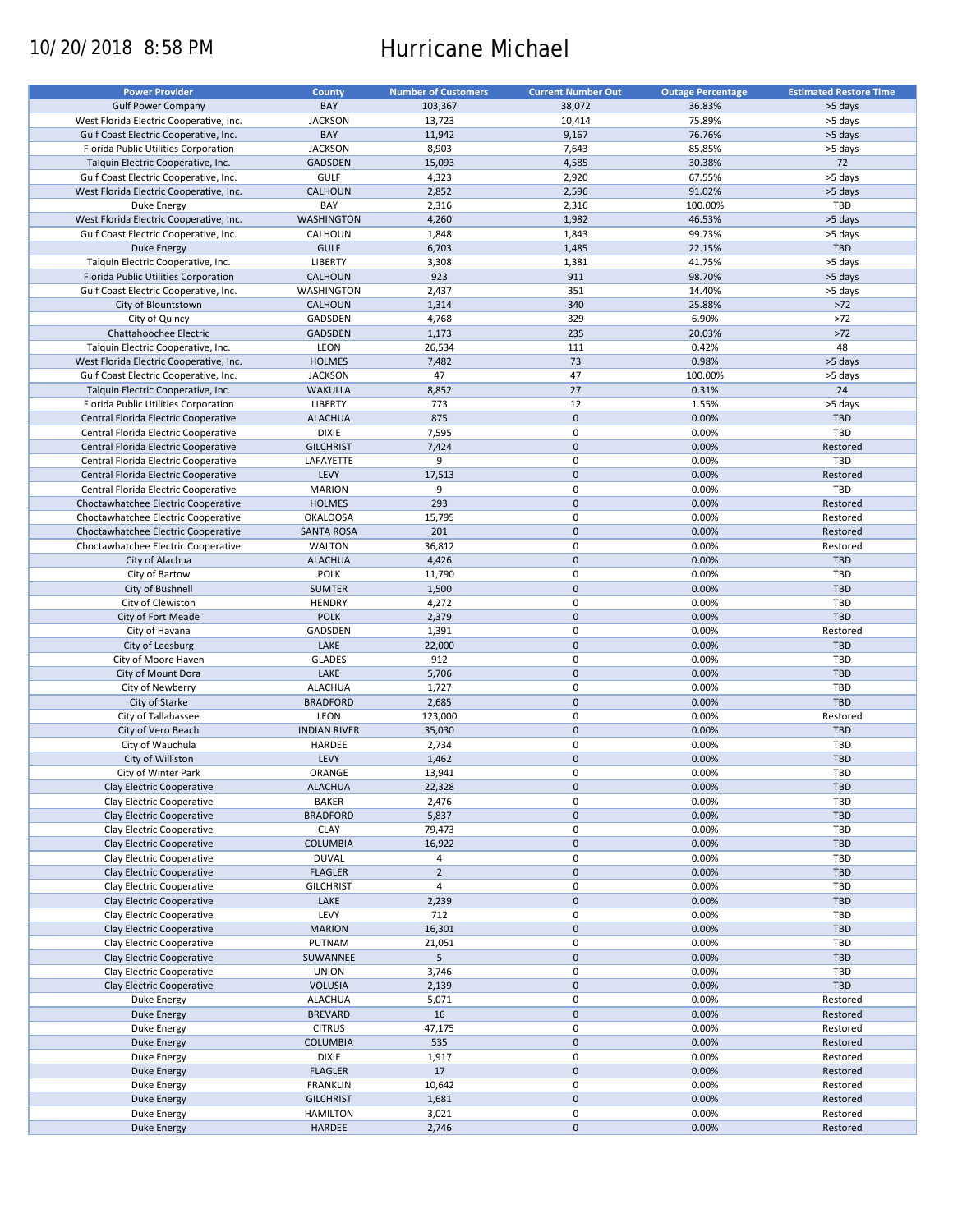# 10/20/2018 8:58 PM Hurricane Michael

| <b>Power Provider</b>                   | <b>County</b>       | <b>Number of Customers</b> | <b>Current Number Out</b> | <b>Outage Percentage</b> | <b>Estimated Restore Time</b> |
|-----------------------------------------|---------------------|----------------------------|---------------------------|--------------------------|-------------------------------|
|                                         |                     |                            |                           |                          |                               |
| <b>Gulf Power Company</b>               | BAY                 | 103,367                    | 38,072                    | 36.83%                   | >5 days                       |
| West Florida Electric Cooperative, Inc. | <b>JACKSON</b>      | 13,723                     | 10,414                    | 75.89%                   | >5 days                       |
| Gulf Coast Electric Cooperative, Inc.   | BAY                 | 11,942                     | 9,167                     | 76.76%                   | >5 days                       |
| Florida Public Utilities Corporation    | <b>JACKSON</b>      | 8,903                      | 7,643                     | 85.85%                   | >5 days                       |
| Talquin Electric Cooperative, Inc.      | <b>GADSDEN</b>      | 15,093                     | 4,585                     | 30.38%                   | 72                            |
| Gulf Coast Electric Cooperative, Inc.   | <b>GULF</b>         | 4,323                      | 2,920                     | 67.55%                   | >5 days                       |
|                                         |                     |                            |                           |                          |                               |
| West Florida Electric Cooperative, Inc. | CALHOUN             | 2,852                      | 2,596                     | 91.02%                   | >5 days                       |
| Duke Energy                             | BAY                 | 2,316                      | 2,316                     | 100.00%                  | TBD                           |
| West Florida Electric Cooperative, Inc. | WASHINGTON          | 4,260                      | 1,982                     | 46.53%                   | >5 days                       |
| Gulf Coast Electric Cooperative, Inc.   | CALHOUN             | 1,848                      | 1,843                     | 99.73%                   | >5 days                       |
| <b>Duke Energy</b>                      | <b>GULF</b>         | 6,703                      | 1,485                     | 22.15%                   | <b>TBD</b>                    |
| Talquin Electric Cooperative, Inc.      | LIBERTY             | 3,308                      | 1,381                     | 41.75%                   | >5 days                       |
|                                         |                     |                            |                           |                          |                               |
| Florida Public Utilities Corporation    | CALHOUN             | 923                        | 911                       | 98.70%                   | >5 days                       |
| Gulf Coast Electric Cooperative, Inc.   | WASHINGTON          | 2,437                      | 351                       | 14.40%                   | >5 days                       |
| City of Blountstown                     | <b>CALHOUN</b>      | 1,314                      | 340                       | 25.88%                   | $>72$                         |
| City of Quincy                          | GADSDEN             | 4,768                      | 329                       | 6.90%                    | $>72$                         |
| Chattahoochee Electric                  | <b>GADSDEN</b>      | 1,173                      | 235                       | 20.03%                   | $>72$                         |
| Talquin Electric Cooperative, Inc.      | LEON                | 26,534                     | 111                       | 0.42%                    | 48                            |
|                                         |                     |                            |                           |                          |                               |
| West Florida Electric Cooperative, Inc. | <b>HOLMES</b>       | 7,482                      | 73                        | 0.98%                    | >5 days                       |
| Gulf Coast Electric Cooperative, Inc.   | <b>JACKSON</b>      | 47                         | 47                        | 100.00%                  | >5 days                       |
| Talquin Electric Cooperative, Inc.      | <b>WAKULLA</b>      | 8,852                      | 27                        | 0.31%                    | 24                            |
| Florida Public Utilities Corporation    | LIBERTY             | 773                        | 12                        | 1.55%                    | >5 days                       |
| Central Florida Electric Cooperative    | <b>ALACHUA</b>      | 875                        | $\mathbf 0$               | 0.00%                    | <b>TBD</b>                    |
| Central Florida Electric Cooperative    | <b>DIXIE</b>        |                            | $\mathbf 0$               | 0.00%                    | TBD                           |
|                                         |                     | 7,595                      |                           |                          |                               |
| Central Florida Electric Cooperative    | <b>GILCHRIST</b>    | 7,424                      | $\mathbf 0$               | 0.00%                    | Restored                      |
| Central Florida Electric Cooperative    | LAFAYETTE           | 9                          | $\mathbf 0$               | 0.00%                    | <b>TBD</b>                    |
| Central Florida Electric Cooperative    | LEVY                | 17,513                     | $\mathbf 0$               | 0.00%                    | Restored                      |
| Central Florida Electric Cooperative    | <b>MARION</b>       | 9                          | $\mathbf 0$               | 0.00%                    | TBD                           |
| Choctawhatchee Electric Cooperative     | <b>HOLMES</b>       | 293                        | $\mathbf 0$               | 0.00%                    | Restored                      |
|                                         |                     |                            |                           |                          |                               |
| Choctawhatchee Electric Cooperative     | <b>OKALOOSA</b>     | 15,795                     | $\mathbf 0$               | 0.00%                    | Restored                      |
| Choctawhatchee Electric Cooperative     | <b>SANTA ROSA</b>   | 201                        | $\mathbf 0$               | 0.00%                    | Restored                      |
| Choctawhatchee Electric Cooperative     | <b>WALTON</b>       | 36,812                     | 0                         | 0.00%                    | Restored                      |
| City of Alachua                         | <b>ALACHUA</b>      | 4,426                      | $\mathbf 0$               | 0.00%                    | <b>TBD</b>                    |
| City of Bartow                          | <b>POLK</b>         | 11,790                     | 0                         | 0.00%                    | TBD                           |
|                                         | <b>SUMTER</b>       | 1,500                      | $\mathbf 0$               | 0.00%                    | <b>TBD</b>                    |
| City of Bushnell                        |                     |                            |                           |                          |                               |
| City of Clewiston                       | <b>HENDRY</b>       | 4,272                      | 0                         | 0.00%                    | TBD                           |
| City of Fort Meade                      | <b>POLK</b>         | 2,379                      | $\mathbf 0$               | 0.00%                    | <b>TBD</b>                    |
| City of Havana                          | GADSDEN             | 1,391                      | $\pmb{0}$                 | 0.00%                    | Restored                      |
| City of Leesburg                        | LAKE                | 22,000                     | $\mathbf 0$               | 0.00%                    | <b>TBD</b>                    |
| City of Moore Haven                     | <b>GLADES</b>       | 912                        | 0                         | 0.00%                    | TBD                           |
| City of Mount Dora                      | LAKE                | 5,706                      | $\pmb{0}$                 | 0.00%                    | <b>TBD</b>                    |
|                                         |                     |                            |                           |                          |                               |
| City of Newberry                        | <b>ALACHUA</b>      | 1,727                      | $\pmb{0}$                 | 0.00%                    | TBD                           |
| City of Starke                          | <b>BRADFORD</b>     | 2,685                      | $\mathbf 0$               | 0.00%                    | <b>TBD</b>                    |
| City of Tallahassee                     | LEON                | 123,000                    | $\mathbf 0$               | 0.00%                    | Restored                      |
| City of Vero Beach                      | <b>INDIAN RIVER</b> | 35,030                     | $\mathbf 0$               | 0.00%                    | <b>TBD</b>                    |
| City of Wauchula                        | HARDEE              | 2,734                      | 0                         | 0.00%                    | <b>TBD</b>                    |
| City of Williston                       | LEVY                | 1,462                      | $\mathbf 0$               | 0.00%                    | <b>TBD</b>                    |
|                                         |                     |                            |                           |                          |                               |
| City of Winter Park                     | ORANGE              | 13,941                     | $\mathbf 0$               | 0.00%                    | TBD                           |
| Clay Electric Cooperative               | <b>ALACHUA</b>      | 22,328                     | $\pmb{0}$                 | 0.00%                    | TBD                           |
| Clay Electric Cooperative               | <b>BAKER</b>        | 2,476                      | 0                         | 0.00%                    | TBD                           |
| Clay Electric Cooperative               | <b>BRADFORD</b>     | 5,837                      | 0                         | 0.00%                    | <b>TBD</b>                    |
| Clay Electric Cooperative               | <b>CLAY</b>         | 79,473                     | 0                         | 0.00%                    | TBD                           |
| Clay Electric Cooperative               | <b>COLUMBIA</b>     |                            | $\pmb{0}$                 | 0.00%                    | TBD                           |
|                                         |                     | 16,922                     |                           |                          |                               |
| Clay Electric Cooperative               | <b>DUVAL</b>        | 4                          | 0                         | 0.00%                    | TBD                           |
| Clay Electric Cooperative               | <b>FLAGLER</b>      | $\overline{2}$             | $\pmb{0}$                 | 0.00%                    | TBD                           |
| Clay Electric Cooperative               | <b>GILCHRIST</b>    | $\sqrt{4}$                 | 0                         | 0.00%                    | TBD                           |
| Clay Electric Cooperative               | LAKE                | 2,239                      | 0                         | 0.00%                    | <b>TBD</b>                    |
| Clay Electric Cooperative               | LEVY                | 712                        | 0                         | 0.00%                    | TBD                           |
| Clay Electric Cooperative               | <b>MARION</b>       | 16,301                     | $\pmb{0}$                 | 0.00%                    | <b>TBD</b>                    |
|                                         |                     |                            |                           |                          |                               |
| Clay Electric Cooperative               | PUTNAM              | 21,051                     | 0                         | 0.00%                    | TBD                           |
| Clay Electric Cooperative               | SUWANNEE            | 5                          | $\pmb{0}$                 | 0.00%                    | TBD                           |
| Clay Electric Cooperative               | <b>UNION</b>        | 3,746                      | 0                         | 0.00%                    | TBD                           |
| Clay Electric Cooperative               | <b>VOLUSIA</b>      | 2,139                      | $\pmb{0}$                 | 0.00%                    | TBD                           |
| Duke Energy                             | <b>ALACHUA</b>      | 5,071                      | 0                         | 0.00%                    | Restored                      |
| Duke Energy                             | <b>BREVARD</b>      | 16                         | $\pmb{0}$                 | 0.00%                    | Restored                      |
|                                         |                     |                            |                           |                          |                               |
| Duke Energy                             | <b>CITRUS</b>       | 47,175                     | $\pmb{0}$                 | 0.00%                    | Restored                      |
| Duke Energy                             | <b>COLUMBIA</b>     | 535                        | $\pmb{0}$                 | 0.00%                    | Restored                      |
| Duke Energy                             | <b>DIXIE</b>        | 1,917                      | $\mathbf 0$               | 0.00%                    | Restored                      |
| <b>Duke Energy</b>                      | <b>FLAGLER</b>      | 17                         | $\pmb{0}$                 | 0.00%                    | Restored                      |
| Duke Energy                             | <b>FRANKLIN</b>     | 10,642                     | $\mathbf 0$               | 0.00%                    | Restored                      |
| <b>Duke Energy</b>                      | <b>GILCHRIST</b>    | 1,681                      | $\pmb{0}$                 | 0.00%                    | Restored                      |
|                                         |                     |                            |                           |                          |                               |
| Duke Energy                             | <b>HAMILTON</b>     | 3,021                      | $\pmb{0}$                 | 0.00%                    | Restored                      |
| <b>Duke Energy</b>                      | HARDEE              | 2,746                      | $\pmb{0}$                 | 0.00%                    | Restored                      |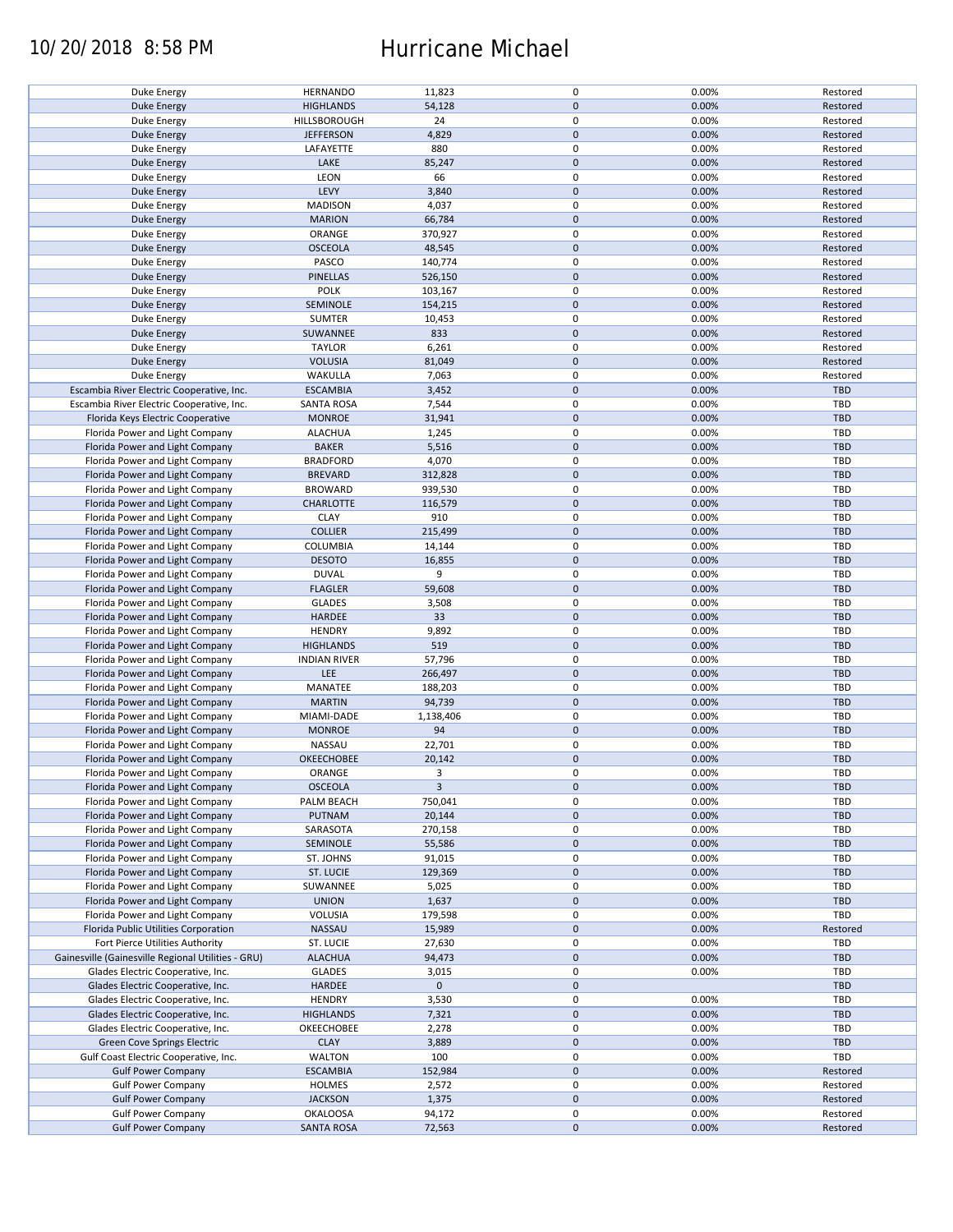### 10/20/2018 8:58 PM Hurricane Michael

| Duke Energy                                        | <b>HERNANDO</b>     | 11,823       | $\mathbf 0$ | 0.00% | Restored   |
|----------------------------------------------------|---------------------|--------------|-------------|-------|------------|
| <b>Duke Energy</b>                                 | <b>HIGHLANDS</b>    | 54,128       | $\mathbf 0$ | 0.00% | Restored   |
|                                                    |                     |              |             |       |            |
| Duke Energy                                        | <b>HILLSBOROUGH</b> | 24           | 0           | 0.00% | Restored   |
| <b>Duke Energy</b>                                 | <b>JEFFERSON</b>    | 4,829        | $\mathbf 0$ | 0.00% | Restored   |
| Duke Energy                                        | LAFAYETTE           | 880          | 0           | 0.00% | Restored   |
|                                                    |                     |              |             |       |            |
| <b>Duke Energy</b>                                 | LAKE                | 85,247       | $\mathbf 0$ | 0.00% | Restored   |
| Duke Energy                                        | LEON                | 66           | $\mathbf 0$ | 0.00% | Restored   |
| <b>Duke Energy</b>                                 | LEVY                | 3,840        | $\mathbf 0$ | 0.00% | Restored   |
|                                                    |                     |              |             |       |            |
| Duke Energy                                        | <b>MADISON</b>      | 4,037        | 0           | 0.00% | Restored   |
| Duke Energy                                        | <b>MARION</b>       | 66,784       | $\mathbf 0$ | 0.00% | Restored   |
| Duke Energy                                        | ORANGE              | 370,927      | 0           | 0.00% | Restored   |
|                                                    |                     |              |             |       |            |
| Duke Energy                                        | <b>OSCEOLA</b>      | 48,545       | $\mathbf 0$ | 0.00% | Restored   |
| Duke Energy                                        | PASCO               | 140,774      | $\mathbf 0$ | 0.00% | Restored   |
| Duke Energy                                        | <b>PINELLAS</b>     | 526,150      | $\mathbf 0$ | 0.00% | Restored   |
|                                                    |                     |              |             |       |            |
| Duke Energy                                        | <b>POLK</b>         | 103,167      | $\pmb{0}$   | 0.00% | Restored   |
| <b>Duke Energy</b>                                 | SEMINOLE            | 154,215      | $\mathbf 0$ | 0.00% | Restored   |
| Duke Energy                                        | <b>SUMTER</b>       | 10,453       | $\pmb{0}$   | 0.00% | Restored   |
|                                                    |                     |              |             |       |            |
| <b>Duke Energy</b>                                 | SUWANNEE            | 833          | $\mathbf 0$ | 0.00% | Restored   |
| Duke Energy                                        | <b>TAYLOR</b>       | 6,261        | $\pmb{0}$   | 0.00% | Restored   |
| <b>Duke Energy</b>                                 | <b>VOLUSIA</b>      | 81,049       | $\mathbf 0$ | 0.00% | Restored   |
|                                                    |                     |              |             |       |            |
| Duke Energy                                        | WAKULLA             | 7,063        | $\pmb{0}$   | 0.00% | Restored   |
| Escambia River Electric Cooperative, Inc.          | <b>ESCAMBIA</b>     | 3,452        | $\mathbf 0$ | 0.00% | TBD        |
| Escambia River Electric Cooperative, Inc.          | <b>SANTA ROSA</b>   | 7,544        | $\pmb{0}$   | 0.00% | <b>TBD</b> |
|                                                    |                     |              |             |       |            |
| Florida Keys Electric Cooperative                  | <b>MONROE</b>       | 31,941       | $\mathbf 0$ | 0.00% | <b>TBD</b> |
| Florida Power and Light Company                    | <b>ALACHUA</b>      | 1,245        | $\mathbf 0$ | 0.00% | TBD        |
| Florida Power and Light Company                    | <b>BAKER</b>        | 5,516        | $\pmb{0}$   | 0.00% | <b>TBD</b> |
|                                                    |                     |              |             |       |            |
| Florida Power and Light Company                    | <b>BRADFORD</b>     | 4,070        | $\mathbf 0$ | 0.00% | TBD        |
| Florida Power and Light Company                    | <b>BREVARD</b>      | 312,828      | $\mathbf 0$ | 0.00% | <b>TBD</b> |
|                                                    |                     |              | $\mathbf 0$ | 0.00% | TBD        |
| Florida Power and Light Company                    | <b>BROWARD</b>      | 939,530      |             |       |            |
| Florida Power and Light Company                    | <b>CHARLOTTE</b>    | 116,579      | $\pmb{0}$   | 0.00% | <b>TBD</b> |
| Florida Power and Light Company                    | <b>CLAY</b>         | 910          | $\mathbf 0$ | 0.00% | <b>TBD</b> |
|                                                    |                     |              |             |       |            |
| Florida Power and Light Company                    | <b>COLLIER</b>      | 215,499      | $\pmb{0}$   | 0.00% | <b>TBD</b> |
| Florida Power and Light Company                    | COLUMBIA            | 14,144       | 0           | 0.00% | TBD        |
| Florida Power and Light Company                    | <b>DESOTO</b>       | 16,855       | $\mathbf 0$ | 0.00% | <b>TBD</b> |
|                                                    |                     |              |             |       |            |
| Florida Power and Light Company                    | <b>DUVAL</b>        | 9            | 0           | 0.00% | TBD        |
| Florida Power and Light Company                    | <b>FLAGLER</b>      | 59,608       | $\pmb{0}$   | 0.00% | <b>TBD</b> |
| Florida Power and Light Company                    | <b>GLADES</b>       | 3,508        | $\pmb{0}$   | 0.00% | TBD        |
|                                                    |                     |              |             |       |            |
| Florida Power and Light Company                    | HARDEE              | 33           | $\pmb{0}$   | 0.00% | <b>TBD</b> |
| Florida Power and Light Company                    | <b>HENDRY</b>       | 9,892        | $\pmb{0}$   | 0.00% | <b>TBD</b> |
| Florida Power and Light Company                    | <b>HIGHLANDS</b>    | 519          | $\mathbf 0$ | 0.00% | <b>TBD</b> |
|                                                    |                     |              |             |       |            |
| Florida Power and Light Company                    | <b>INDIAN RIVER</b> | 57,796       | $\pmb{0}$   | 0.00% | TBD        |
| Florida Power and Light Company                    | LEE                 | 266,497      | $\pmb{0}$   | 0.00% | <b>TBD</b> |
| Florida Power and Light Company                    | MANATEE             | 188,203      | $\pmb{0}$   | 0.00% | TBD        |
|                                                    |                     |              |             |       |            |
| Florida Power and Light Company                    | <b>MARTIN</b>       | 94,739       | $\mathbf 0$ | 0.00% | <b>TBD</b> |
| Florida Power and Light Company                    | MIAMI-DADE          | 1,138,406    | $\mathbf 0$ | 0.00% | TBD        |
|                                                    |                     |              |             |       |            |
| Florida Power and Light Company                    | <b>MONROE</b>       | 94           | $\mathbf 0$ | 0.00% | <b>TBD</b> |
| Florida Power and Light Company                    | NASSAU              | 22,701       | 0           | 0.00% | <b>TBD</b> |
| Florida Power and Light Company                    | <b>OKEECHOBEE</b>   | 20,142       | $\mathbf 0$ | 0.00% | <b>TBD</b> |
|                                                    |                     |              |             |       |            |
| Florida Power and Light Company                    | ORANGE              | 3            | $\mathbf 0$ | 0.00% | TBD        |
| Florida Power and Light Company                    | <b>OSCEOLA</b>      | $\mathbf{3}$ | $\pmb{0}$   | 0.00% | TBD        |
| Florida Power and Light Company                    | PALM BEACH          | 750,041      | 0           | 0.00% | TBD        |
|                                                    |                     |              |             |       |            |
| Florida Power and Light Company                    | PUTNAM              | 20,144       | $\mathbf 0$ | 0.00% | <b>TBD</b> |
| Florida Power and Light Company                    | SARASOTA            | 270,158      | 0           | 0.00% | TBD        |
| Florida Power and Light Company                    | SEMINOLE            | 55,586       | 0           | 0.00% | TBD        |
|                                                    |                     |              |             |       |            |
| Florida Power and Light Company                    | ST. JOHNS           | 91,015       | 0           | 0.00% | TBD        |
| Florida Power and Light Company                    | ST. LUCIE           | 129,369      | 0           | 0.00% | <b>TBD</b> |
| Florida Power and Light Company                    |                     |              | 0           | 0.00% |            |
|                                                    | SUWANNEE            | 5,025        |             |       | TBD        |
| Florida Power and Light Company                    | <b>UNION</b>        | 1,637        | 0           | 0.00% | <b>TBD</b> |
| Florida Power and Light Company                    | VOLUSIA             | 179,598      | 0           | 0.00% | TBD        |
| Florida Public Utilities Corporation               |                     |              |             |       |            |
|                                                    | NASSAU              | 15,989       | $\pmb{0}$   | 0.00% | Restored   |
| Fort Pierce Utilities Authority                    | ST. LUCIE           | 27,630       | 0           | 0.00% | TBD        |
| Gainesville (Gainesville Regional Utilities - GRU) | <b>ALACHUA</b>      | 94,473       | $\pmb{0}$   | 0.00% | <b>TBD</b> |
|                                                    |                     |              |             |       |            |
| Glades Electric Cooperative, Inc.                  | <b>GLADES</b>       | 3,015        | $\pmb{0}$   | 0.00% | TBD        |
| Glades Electric Cooperative, Inc.                  | <b>HARDEE</b>       | $\mathbf 0$  | $\pmb{0}$   |       | <b>TBD</b> |
| Glades Electric Cooperative, Inc.                  | <b>HENDRY</b>       | 3,530        | $\pmb{0}$   | 0.00% | TBD        |
|                                                    |                     |              |             |       |            |
| Glades Electric Cooperative, Inc.                  | <b>HIGHLANDS</b>    | 7,321        | $\pmb{0}$   | 0.00% | <b>TBD</b> |
| Glades Electric Cooperative, Inc.                  | OKEECHOBEE          | 2,278        | 0           | 0.00% | TBD        |
| Green Cove Springs Electric                        | <b>CLAY</b>         | 3,889        | $\pmb{0}$   | 0.00% | TBD        |
|                                                    |                     |              |             |       |            |
| Gulf Coast Electric Cooperative, Inc.              | <b>WALTON</b>       | 100          | 0           | 0.00% | TBD        |
| <b>Gulf Power Company</b>                          | <b>ESCAMBIA</b>     | 152,984      | $\pmb{0}$   | 0.00% | Restored   |
|                                                    |                     |              | 0           | 0.00% | Restored   |
| <b>Gulf Power Company</b>                          | <b>HOLMES</b>       | 2,572        |             |       |            |
| <b>Gulf Power Company</b>                          | <b>JACKSON</b>      | 1,375        | $\pmb{0}$   | 0.00% | Restored   |
| <b>Gulf Power Company</b>                          | <b>OKALOOSA</b>     | 94,172       | 0           | 0.00% | Restored   |
| <b>Gulf Power Company</b>                          |                     | 72,563       | $\pmb{0}$   | 0.00% | Restored   |
|                                                    | <b>SANTA ROSA</b>   |              |             |       |            |